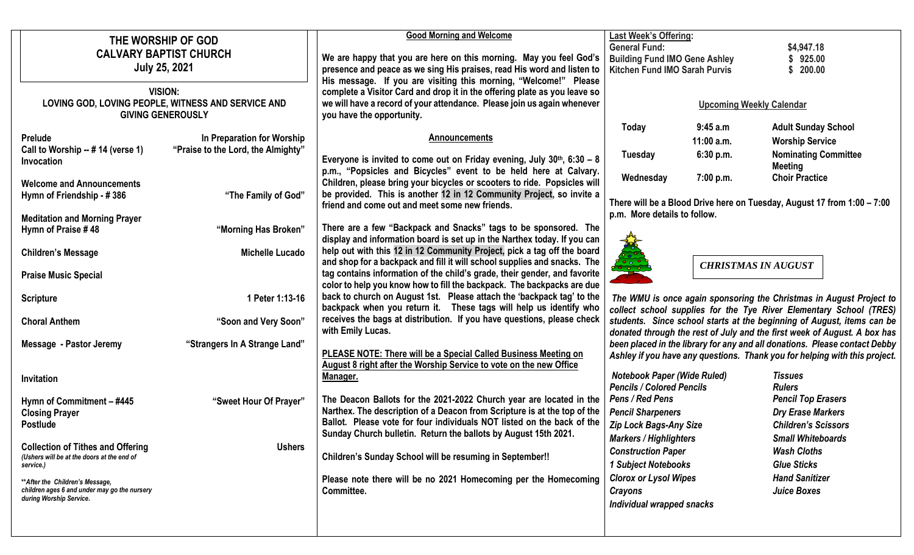|                                                                                | THE WORSHIP OF GOD                                    |                                    | <b>Good Morning and Welcome</b><br><b>Last Week's Offering:</b>                                                                       |                                      |                            |                                                                            |
|--------------------------------------------------------------------------------|-------------------------------------------------------|------------------------------------|---------------------------------------------------------------------------------------------------------------------------------------|--------------------------------------|----------------------------|----------------------------------------------------------------------------|
|                                                                                | <b>CALVARY BAPTIST CHURCH</b><br><b>July 25, 2021</b> |                                    |                                                                                                                                       | <b>General Fund:</b>                 |                            | \$4,947.18                                                                 |
|                                                                                |                                                       |                                    | We are happy that you are here on this morning. May you feel God's                                                                    | <b>Building Fund IMO Gene Ashley</b> |                            | \$925.00                                                                   |
|                                                                                |                                                       |                                    | presence and peace as we sing His praises, read His word and listen to                                                                | <b>Kitchen Fund IMO Sarah Purvis</b> |                            | \$200.00                                                                   |
|                                                                                |                                                       |                                    | His message. If you are visiting this morning, "Welcome!" Please                                                                      |                                      |                            |                                                                            |
|                                                                                | <b>VISION:</b>                                        |                                    | complete a Visitor Card and drop it in the offering plate as you leave so                                                             |                                      |                            |                                                                            |
| LOVING GOD, LOVING PEOPLE, WITNESS AND SERVICE AND<br><b>GIVING GENEROUSLY</b> |                                                       |                                    | we will have a record of your attendance. Please join us again whenever                                                               | <b>Upcoming Weekly Calendar</b>      |                            |                                                                            |
|                                                                                |                                                       |                                    | you have the opportunity.                                                                                                             |                                      |                            |                                                                            |
|                                                                                |                                                       | In Preparation for Worship         | <b>Announcements</b>                                                                                                                  | Today                                | 9:45a.m                    | <b>Adult Sunday School</b>                                                 |
|                                                                                | <b>Prelude</b><br>Call to Worship -- # 14 (verse 1)   | "Praise to the Lord, the Almighty" |                                                                                                                                       |                                      | $11:00$ a.m.               | <b>Worship Service</b>                                                     |
|                                                                                | Invocation                                            |                                    | Everyone is invited to come out on Friday evening, July $30th$ , 6:30 – 8                                                             | <b>Tuesday</b>                       | 6:30 p.m.                  | <b>Nominating Committee</b>                                                |
|                                                                                |                                                       |                                    | p.m., "Popsicles and Bicycles" event to be held here at Calvary.                                                                      |                                      |                            | <b>Meeting</b>                                                             |
|                                                                                | <b>Welcome and Announcements</b>                      |                                    | Children, please bring your bicycles or scooters to ride. Popsicles will                                                              | Wednesday                            | 7:00 p.m.                  | <b>Choir Practice</b>                                                      |
|                                                                                | Hymn of Friendship - #386                             | "The Family of God"                | be provided. This is another 12 in 12 Community Project, so invite a                                                                  |                                      |                            |                                                                            |
|                                                                                |                                                       |                                    | friend and come out and meet some new friends.                                                                                        |                                      |                            | There will be a Blood Drive here on Tuesday, August 17 from 1:00 - 7:00    |
|                                                                                | <b>Meditation and Morning Prayer</b>                  |                                    |                                                                                                                                       | p.m. More details to follow.         |                            |                                                                            |
|                                                                                | Hymn of Praise #48                                    | "Morning Has Broken"               | There are a few "Backpack and Snacks" tags to be sponsored. The                                                                       |                                      |                            |                                                                            |
|                                                                                |                                                       |                                    | display and information board is set up in the Narthex today. If you can                                                              |                                      |                            |                                                                            |
|                                                                                | <b>Children's Message</b>                             | <b>Michelle Lucado</b>             | help out with this 12 in 12 Community Project, pick a tag off the board                                                               |                                      |                            |                                                                            |
|                                                                                |                                                       |                                    | and shop for a backpack and fill it will school supplies and snacks. The                                                              |                                      | <b>CHRISTMAS IN AUGUST</b> |                                                                            |
|                                                                                | <b>Praise Music Special</b>                           |                                    | tag contains information of the child's grade, their gender, and favorite                                                             |                                      |                            |                                                                            |
|                                                                                |                                                       |                                    | color to help you know how to fill the backpack. The backpacks are due                                                                |                                      |                            |                                                                            |
|                                                                                | <b>Scripture</b>                                      | 1 Peter 1:13-16                    | back to church on August 1st. Please attach the 'backpack tag' to the                                                                 |                                      |                            | The WMU is once again sponsoring the Christmas in August Project to        |
|                                                                                |                                                       |                                    | backpack when you return it.  These tags will help us identify who                                                                    |                                      |                            | collect school supplies for the Tye River Elementary School (TRES)         |
|                                                                                | <b>Choral Anthem</b>                                  | "Soon and Very Soon"               | receives the bags at distribution. If you have questions, please check                                                                |                                      |                            | students. Since school starts at the beginning of August, items can be     |
|                                                                                |                                                       |                                    | with Emily Lucas.                                                                                                                     |                                      |                            | donated through the rest of July and the first week of August. A box has   |
|                                                                                | <b>Message - Pastor Jeremy</b>                        | "Strangers In A Strange Land"      |                                                                                                                                       |                                      |                            | been placed in the library for any and all donations. Please contact Debby |
|                                                                                |                                                       |                                    | PLEASE NOTE: There will be a Special Called Business Meeting on<br>August 8 right after the Worship Service to vote on the new Office |                                      |                            | Ashley if you have any questions. Thank you for helping with this project. |
|                                                                                |                                                       |                                    | Manager.                                                                                                                              | <b>Notebook Paper (Wide Ruled)</b>   |                            | <b>Tissues</b>                                                             |
|                                                                                | Invitation                                            |                                    |                                                                                                                                       | <b>Pencils / Colored Pencils</b>     |                            | <b>Rulers</b>                                                              |
|                                                                                | Hymn of Commitment - #445                             | "Sweet Hour Of Prayer"             | The Deacon Ballots for the 2021-2022 Church year are located in the                                                                   | Pens / Red Pens                      |                            | <b>Pencil Top Erasers</b>                                                  |
|                                                                                | <b>Closing Prayer</b>                                 |                                    | Narthex. The description of a Deacon from Scripture is at the top of the                                                              | <b>Pencil Sharpeners</b>             |                            | <b>Dry Erase Markers</b>                                                   |
|                                                                                | <b>Postlude</b>                                       |                                    | Ballot. Please vote for four individuals NOT listed on the back of the                                                                | Zip Lock Bags-Any Size               |                            | <b>Children's Scissors</b>                                                 |
|                                                                                |                                                       |                                    | Sunday Church bulletin. Return the ballots by August 15th 2021.                                                                       |                                      |                            |                                                                            |
|                                                                                | <b>Collection of Tithes and Offering</b>              | <b>Ushers</b>                      |                                                                                                                                       | <b>Markers / Highlighters</b>        |                            | <b>Small Whiteboards</b>                                                   |
|                                                                                | (Ushers will be at the doors at the end of            |                                    | Children's Sunday School will be resuming in September!!                                                                              | <b>Construction Paper</b>            |                            | <b>Wash Cloths</b>                                                         |
|                                                                                | service.)                                             |                                    |                                                                                                                                       | 1 Subject Notebooks                  |                            | <b>Glue Sticks</b>                                                         |
|                                                                                | ** After the Children's Message,                      |                                    | Please note there will be no 2021 Homecoming per the Homecoming                                                                       | <b>Clorox or Lysol Wipes</b>         |                            | <b>Hand Sanitizer</b>                                                      |
|                                                                                | children ages 6 and under may go the nursery          |                                    | Committee.                                                                                                                            | <b>Crayons</b>                       |                            | <b>Juice Boxes</b>                                                         |
|                                                                                | during Worship Service.                               |                                    |                                                                                                                                       | Individual wrapped snacks            |                            |                                                                            |
|                                                                                |                                                       |                                    |                                                                                                                                       |                                      |                            |                                                                            |
|                                                                                |                                                       |                                    |                                                                                                                                       |                                      |                            |                                                                            |